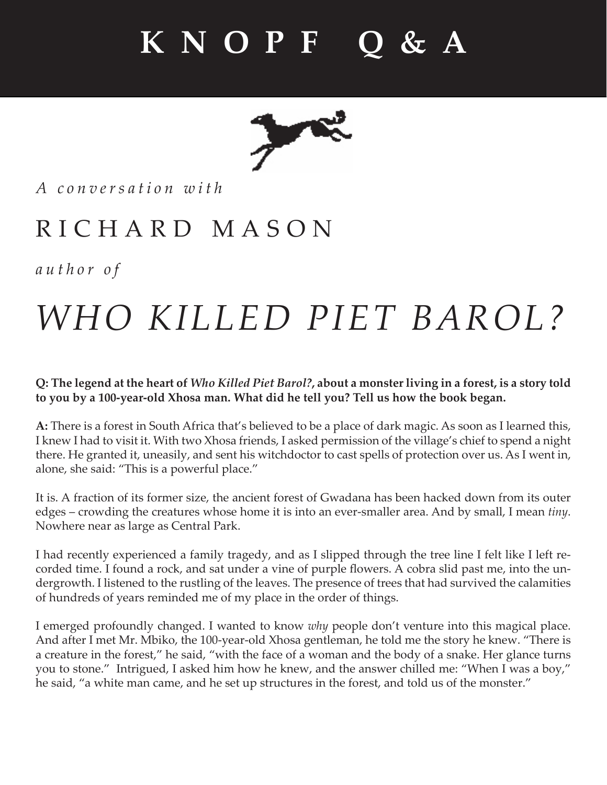

*A c o n v e r s a t i o n w i t h* 

### RICHARD MASON

*author of*

# *WHO KILLED PIET BAROL?*

**Q: The legend at the heart of** *Who Killed Piet Barol?***, about a monster living in a forest, is a story told to you by a 100-year-old Xhosa man. What did he tell you? Tell us how the book began.**

**A:** There is a forest in South Africa that's believed to be a place of dark magic. As soon as I learned this, I knew I had to visit it. With two Xhosa friends, I asked permission of the village's chief to spend a night there. He granted it, uneasily, and sent his witchdoctor to cast spells of protection over us. As I went in, alone, she said: "This is a powerful place."

It is. A fraction of its former size, the ancient forest of Gwadana has been hacked down from its outer edges – crowding the creatures whose home it is into an ever-smaller area. And by small, I mean *tiny*. Nowhere near as large as Central Park.

I had recently experienced a family tragedy, and as I slipped through the tree line I felt like I left recorded time. I found a rock, and sat under a vine of purple flowers. A cobra slid past me, into the undergrowth. I listened to the rustling of the leaves. The presence of trees that had survived the calamities of hundreds of years reminded me of my place in the order of things.

I emerged profoundly changed. I wanted to know *why* people don't venture into this magical place. And after I met Mr. Mbiko, the 100-year-old Xhosa gentleman, he told me the story he knew. "There is a creature in the forest," he said, "with the face of a woman and the body of a snake. Her glance turns you to stone." Intrigued, I asked him how he knew, and the answer chilled me: "When I was a boy," he said, "a white man came, and he set up structures in the forest, and told us of the monster."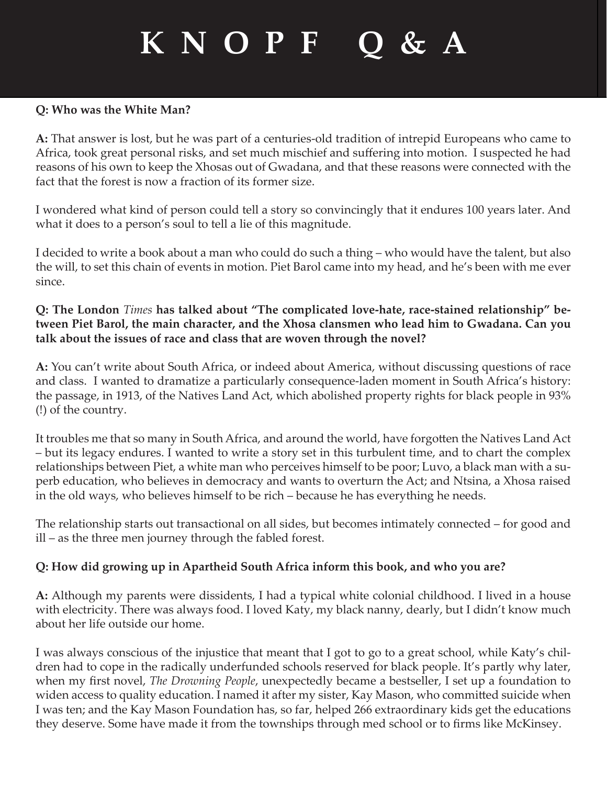#### **Q: Who was the White Man?**

**A:** That answer is lost, but he was part of a centuries-old tradition of intrepid Europeans who came to Africa, took great personal risks, and set much mischief and suffering into motion. I suspected he had reasons of his own to keep the Xhosas out of Gwadana, and that these reasons were connected with the fact that the forest is now a fraction of its former size.

I wondered what kind of person could tell a story so convincingly that it endures 100 years later. And what it does to a person's soul to tell a lie of this magnitude.

I decided to write a book about a man who could do such a thing – who would have the talent, but also the will, to set this chain of events in motion. Piet Barol came into my head, and he's been with me ever since.

#### **Q: The London** *Times* **has talked about "The complicated love-hate, race-stained relationship" between Piet Barol, the main character, and the Xhosa clansmen who lead him to Gwadana. Can you talk about the issues of race and class that are woven through the novel?**

**A:** You can't write about South Africa, or indeed about America, without discussing questions of race and class. I wanted to dramatize a particularly consequence-laden moment in South Africa's history: the passage, in 1913, of the Natives Land Act, which abolished property rights for black people in 93% (!) of the country.

It troubles me that so many in South Africa, and around the world, have forgotten the Natives Land Act – but its legacy endures. I wanted to write a story set in this turbulent time, and to chart the complex relationships between Piet, a white man who perceives himself to be poor; Luvo, a black man with a superb education, who believes in democracy and wants to overturn the Act; and Ntsina, a Xhosa raised in the old ways, who believes himself to be rich – because he has everything he needs.

The relationship starts out transactional on all sides, but becomes intimately connected – for good and ill – as the three men journey through the fabled forest.

#### **Q: How did growing up in Apartheid South Africa inform this book, and who you are?**

**A:** Although my parents were dissidents, I had a typical white colonial childhood. I lived in a house with electricity. There was always food. I loved Katy, my black nanny, dearly, but I didn't know much about her life outside our home.

I was always conscious of the injustice that meant that I got to go to a great school, while Katy's children had to cope in the radically underfunded schools reserved for black people. It's partly why later, when my first novel, *The Drowning People*, unexpectedly became a bestseller, I set up a foundation to widen access to quality education. I named it after my sister, Kay Mason, who committed suicide when I was ten; and the Kay Mason Foundation has, so far, helped 266 extraordinary kids get the educations they deserve. Some have made it from the townships through med school or to firms like McKinsey.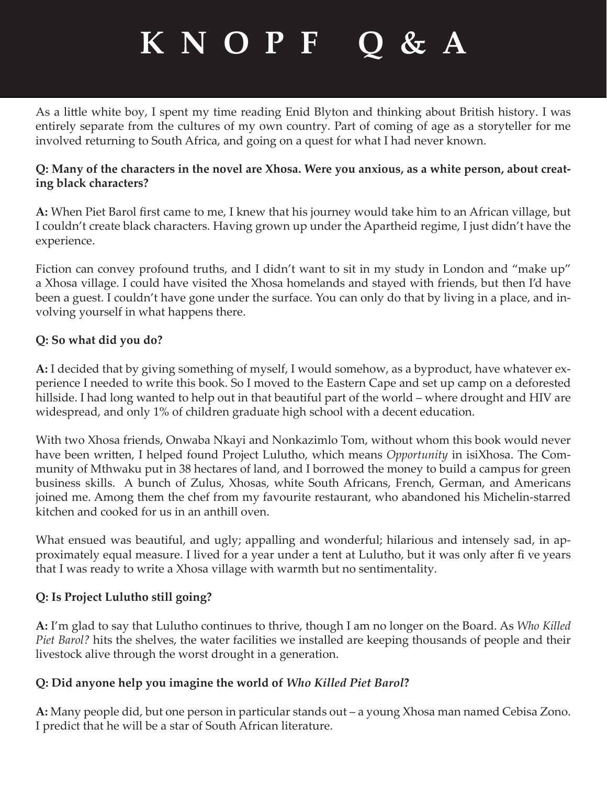As a little white boy, I spent my time reading Enid Blyton and thinking about British history. I was entirely separate from the cultures of my own country. Part of coming of age as a storyteller for me involved returning to South Africa, and going on a quest for what I had never known.

#### **Q: Many of the characters in the novel are Xhosa. Were you anxious, as a white person, about creating black characters?**

A: When Piet Barol first came to me, I knew that his journey would take him to an African village, but I couldn't create black characters. Having grown up under the Apartheid regime, I just didn't have the experience.

Fiction can convey profound truths, and I didn't want to sit in my study in London and "make up" a Xhosa village. I could have visited the Xhosa homelands and stayed with friends, but then I'd have been a guest. I couldn't have gone under the surface. You can only do that by living in a place, and involving yourself in what happens there.

#### **Q: So what did you do?**

**A:** I decided that by giving something of myself, I would somehow, as a byproduct, have whatever experience I needed to write this book. So I moved to the Eastern Cape and set up camp on a deforested hillside. I had long wanted to help out in that beautiful part of the world – where drought and HIV are widespread, and only 1% of children graduate high school with a decent education.

With two Xhosa friends, Onwaba Nkayi and Nonkazimlo Tom, without whom this book would never have been written, I helped found Project Lulutho, which means *Opportunity* in isiXhosa. The Community of Mthwaku put in 38 hectares of land, and I borrowed the money to build a campus for green business skills. A bunch of Zulus, Xhosas, white South Africans, French, German, and Americans joined me. Among them the chef from my favourite restaurant, who abandoned his Michelin-starred kitchen and cooked for us in an anthill oven.

What ensued was beautiful, and ugly; appalling and wonderful; hilarious and intensely sad, in approximately equal measure. I lived for a year under a tent at Lulutho, but it was only after fi ve years that I was ready to write a Xhosa village with warmth but no sentimentality.

#### **Q: Is Project Lulutho still going?**

**A:** I'm glad to say that Lulutho continues to thrive, though I am no longer on the Board. As *Who Killed Piet Barol?* hits the shelves, the water facilities we installed are keeping thousands of people and their livestock alive through the worst drought in a generation.

#### **Q: Did anyone help you imagine the world of** *Who Killed Piet Barol***?**

**A:** Many people did, but one person in particular stands out – a young Xhosa man named Cebisa Zono. I predict that he will be a star of South African literature.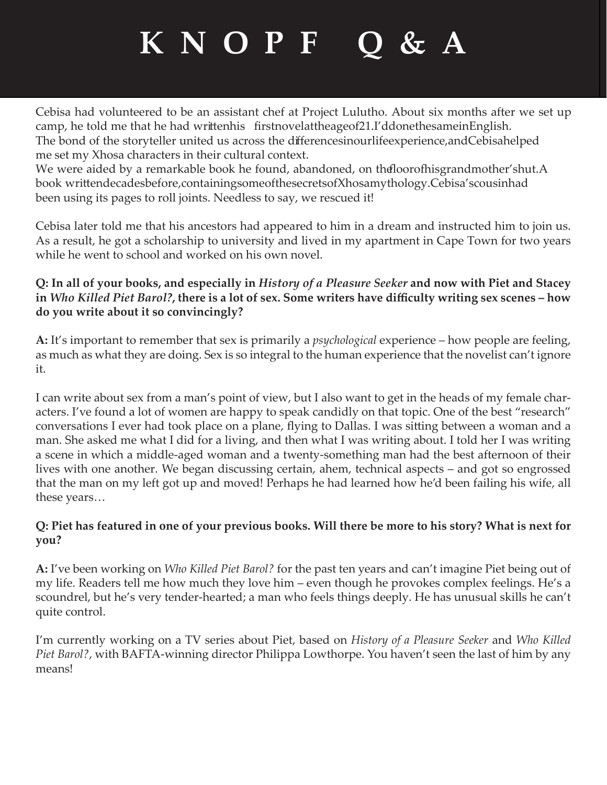Cebisa had volunteered to be an assistant chef at Project Lulutho. About six months after we set up camp, he told me that he had writtenhis first novel at the age of 21. I'd done the same in English. The bond of the storyteller united us across the differences in our life experience, and Cebisa helped me set my Xhosa characters in their cultural context.

We were aided by a remarkable book he found, abandoned, on the floor of his grandmother's hut. A book writtendecades before, containing some of the secrets of Xhosa mythology. Cebisa's cousin had been using its pages to roll joints. Needless to say, we rescued it!

Cebisa later told me that his ancestors had appeared to him in a dream and instructed him to join us. As a result, he got a scholarship to university and lived in my apartment in Cape Town for two years while he went to school and worked on his own novel.

#### **Q: In all of your books, and especially in** *History of a Pleasure Seeker* **and now with Piet and Stacey in** *Who Killed Piet Barol?***, there is a lot of sex. Some writers have diffi culty writing sex scenes – how do you write about it so convincingly?**

**A:** It's important to remember that sex is primarily a *psychological* experience – how people are feeling, as much as what they are doing. Sex is so integral to the human experience that the novelist can't ignore it.

I can write about sex from a man's point of view, but I also want to get in the heads of my female characters. I've found a lot of women are happy to speak candidly on that topic. One of the best "research" conversations I ever had took place on a plane, flying to Dallas. I was sitting between a woman and a man. She asked me what I did for a living, and then what I was writing about. I told her I was writing a scene in which a middle-aged woman and a twenty-something man had the best afternoon of their lives with one another. We began discussing certain, ahem, technical aspects – and got so engrossed that the man on my left got up and moved! Perhaps he had learned how he'd been failing his wife, all these years…

#### **Q: Piet has featured in one of your previous books. Will there be more to his story? What is next for you?**

**A:** I've been working on *Who Killed Piet Barol?* for the past ten years and can't imagine Piet being out of my life. Readers tell me how much they love him – even though he provokes complex feelings. He's a scoundrel, but he's very tender-hearted; a man who feels things deeply. He has unusual skills he can't quite control.

I'm currently working on a TV series about Piet, based on *History of a Pleasure Seeker* and *Who Killed Piet Barol?*, with BAFTA-winning director Philippa Lowthorpe. You haven't seen the last of him by any means!